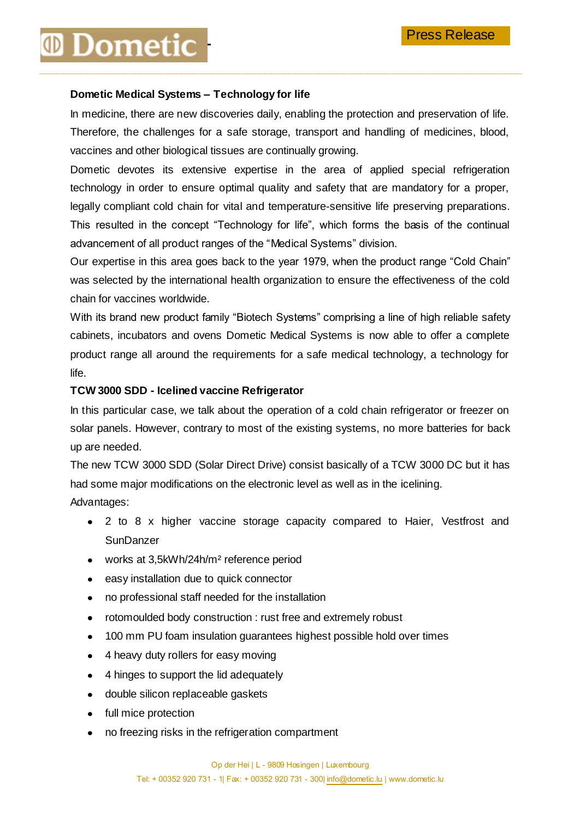## **Dometic**

### **Dometic Medical Systems – Technology for life**

In medicine, there are new discoveries daily, enabling the protection and preservation of life. Therefore, the challenges for a safe storage, transport and handling of medicines, blood, vaccines and other biological tissues are continually growing.

**\_\_\_\_\_\_\_\_\_\_\_\_\_\_\_\_\_\_\_\_\_\_\_\_\_\_\_\_\_\_\_\_\_\_\_\_\_\_\_\_\_\_\_\_\_\_\_\_\_\_\_\_\_\_\_\_\_\_\_\_\_\_\_\_\_\_\_\_\_\_\_\_\_\_\_\_\_\_\_\_\_**

Dometic devotes its extensive expertise in the area of applied special refrigeration technology in order to ensure optimal quality and safety that are mandatory for a proper, legally compliant cold chain for vital and temperature-sensitive life preserving preparations. This resulted in the concept "Technology for life", which forms the basis of the continual advancement of all product ranges of the "Medical Systems" division.

Our expertise in this area goes back to the year 1979, when the product range "Cold Chain" was selected by the international health organization to ensure the effectiveness of the cold chain for vaccines worldwide.

With its brand new product family "Biotech Systems" comprising a line of high reliable safety cabinets, incubators and ovens Dometic Medical Systems is now able to offer a complete product range all around the requirements for a safe medical technology, a technology for life.

### **TCW 3000 SDD - Icelined vaccine Refrigerator**

In this particular case, we talk about the operation of a cold chain refrigerator or freezer on solar panels. However, contrary to most of the existing systems, no more batteries for back up are needed.

The new TCW 3000 SDD (Solar Direct Drive) consist basically of a TCW 3000 DC but it has had some major modifications on the electronic level as well as in the icelining. Advantages:

2 to 8 x higher vaccine storage capacity compared to Haier, Vestfrost and  $\bullet$ **SunDanzer** 

- works at 3,5kWh/24h/m² reference period
- $\bullet$ easy installation due to quick connector
- no professional staff needed for the installation  $\bullet$
- rotomoulded body construction : rust free and extremely robust  $\bullet$
- 100 mm PU foam insulation guarantees highest possible hold over times  $\bullet$
- 4 heavy duty rollers for easy moving  $\bullet$
- $\bullet$ 4 hinges to support the lid adequately
- double silicon replaceable gaskets
- full mice protection
- no freezing risks in the refrigeration compartment $\bullet$